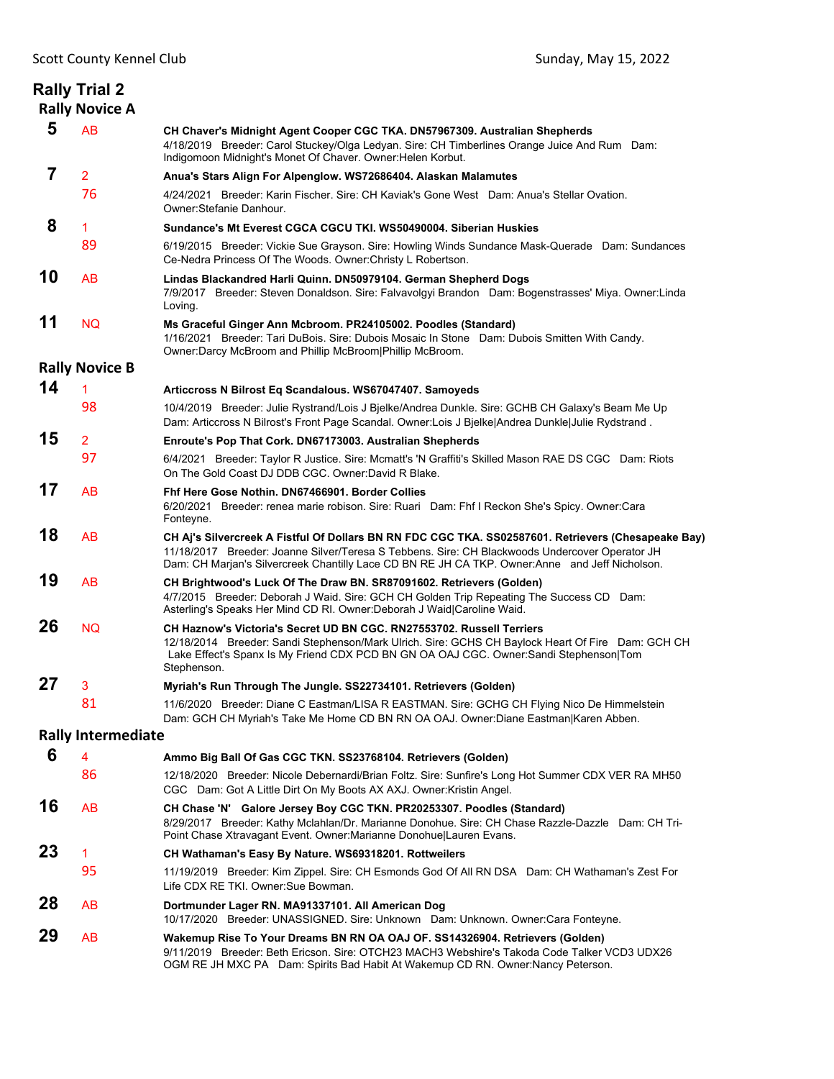**Rally Trial 2 Rally Novice A**

### **8** <sup>1</sup> **Sundance's Mt Everest CGCA CGCU TKI. WS50490004. Siberian Huskies**

| 89 |                                                             | 6/19/2015 Breeder: Vickie Sue Grayson. Sire: Howling Winds Sundance Mask-Querade Dam: Sundances |  |
|----|-------------------------------------------------------------|-------------------------------------------------------------------------------------------------|--|
|    | Ce-Nedra Princess Of The Woods. Owner: Christy L Robertson. |                                                                                                 |  |

**10** AB **Lindas Blackandred Harli Quinn. DN50979104. German Shepherd Dogs** 7/9/2017 Breeder: Steven Donaldson. Sire: Falvavolgyi Brandon Dam: Bogenstrasses' Miya. Owner:Linda Loving.

### **11** NQ **Ms Graceful Ginger Ann Mcbroom. PR24105002. Poodles (Standard)** 1/16/2021 Breeder: Tari DuBois. Sire: Dubois Mosaic In Stone Dam: Dubois Smitten With Candy.

Owner:Darcy McBroom and Phillip McBroom|Phillip McBroom.

### **Rally Novice B 14** <sup>1</sup> **Articcross N Bilrost Eq Scandalous. WS67047407. Samoyeds**

| — I |    | ATUCCIOSS IN DIITOSI EG OCAHUAIOUS. WOOT 047407. OAIHOVGUS                                          |
|-----|----|-----------------------------------------------------------------------------------------------------|
|     | 98 | 10/4/2019 Breeder: Julie Rystrand/Lois J Bjelke/Andrea Dunkle. Sire: GCHB CH Galaxy's Beam Me Up    |
|     |    | Dam: Articcross N Bilrost's Front Page Scandal. Owner: Lois J Bjelke Andrea Dunkle Julie Rydstrand. |

## **15** <sup>2</sup> **Enroute's Pop That Cork. DN67173003. Australian Shepherds**

97 6/4/2021 Breeder: Taylor R Justice. Sire: Mcmatt's 'N Graffiti's Skilled Mason RAE DS CGC Dam: Riots On The Gold Coast DJ DDB CGC. Owner:David R Blake.

# **17** AB **Fhf Here Gose Nothin. DN67466901. Border Collies**

- 6/20/2021 Breeder: renea marie robison. Sire: Ruari Dam: Fhf I Reckon She's Spicy. Owner:Cara Fonteyne. **18** AB **CH Aj's Silvercreek A Fistful Of Dollars BN RN FDC CGC TKA. SS02587601. Retrievers (Chesapeake Bay)**
- 11/18/2017 Breeder: Joanne Silver/Teresa S Tebbens. Sire: CH Blackwoods Undercover Operator JH Dam: CH Marjan's Silvercreek Chantilly Lace CD BN RE JH CA TKP. Owner:Anne and Jeff Nicholson.

#### **19** AB **CH Brightwood's Luck Of The Draw BN. SR87091602. Retrievers (Golden)** 4/7/2015 Breeder: Deborah J Waid. Sire: GCH CH Golden Trip Repeating The Success CD Dam: Asterling's Speaks Her Mind CD RI. Owner:Deborah J Waid|Caroline Waid.

**26** NQ **CH Haznow's Victoria's Secret UD BN CGC. RN27553702. Russell Terriers** 12/18/2014 Breeder: Sandi Stephenson/Mark Ulrich. Sire: GCHS CH Baylock Heart Of Fire Dam: GCH CH Lake Effect's Spanx Is My Friend CDX PCD BN GN OA OAJ CGC. Owner:Sandi Stephenson|Tom Stephenson.

# **27** <sup>3</sup> **Myriah's Run Through The Jungle. SS22734101. Retrievers (Golden)**

81 11/6/2020 Breeder: Diane C Eastman/LISA R EASTMAN. Sire: GCHG CH Flying Nico De Himmelstein Dam: GCH CH Myriah's Take Me Home CD BN RN OA OAJ. Owner:Diane Eastman|Karen Abben.

# **Rally Intermediate**

| 6  | 4                    | Ammo Big Ball Of Gas CGC TKN. SS23768104. Retrievers (Golden)                                                                                                                                                                                                    |
|----|----------------------|------------------------------------------------------------------------------------------------------------------------------------------------------------------------------------------------------------------------------------------------------------------|
|    | 86                   | 12/18/2020 Breeder: Nicole Debernardi/Brian Foltz. Sire: Sunfire's Long Hot Summer CDX VER RA MH50<br>CGC Dam: Got A Little Dirt On My Boots AX AXJ. Owner: Kristin Angel.                                                                                       |
| 16 | AB                   | CH Chase 'N' Galore Jersey Boy CGC TKN. PR20253307. Poodles (Standard)<br>8/29/2017 Breeder: Kathy Mclahlan/Dr. Marianne Donohue. Sire: CH Chase Razzle-Dazzle Dam: CH Tri-<br>Point Chase Xtravagant Event. Owner: Marianne Donohuel Lauren Evans.              |
| 23 | $\blacktriangleleft$ | CH Wathaman's Easy By Nature. WS69318201. Rottweilers                                                                                                                                                                                                            |
|    | 95                   | 11/19/2019 Breeder: Kim Zippel. Sire: CH Esmonds God Of All RN DSA Dam: CH Wathaman's Zest For<br>Life CDX RE TKI, Owner: Sue Bowman,                                                                                                                            |
| 28 | AB                   | Dortmunder Lager RN. MA91337101. All American Dog<br>10/17/2020 Breeder: UNASSIGNED. Sire: Unknown Dam: Unknown. Owner:Cara Fonteyne.                                                                                                                            |
| 29 | AB                   | Wakemup Rise To Your Dreams BN RN OA OAJ OF. SS14326904. Retrievers (Golden)<br>9/11/2019 Breeder: Beth Ericson, Sire: OTCH23 MACH3 Webshire's Takoda Code Talker VCD3 UDX26<br>OGM RE JH MXC PA Dam: Spirits Bad Habit At Wakemup CD RN. Owner: Nancy Peterson. |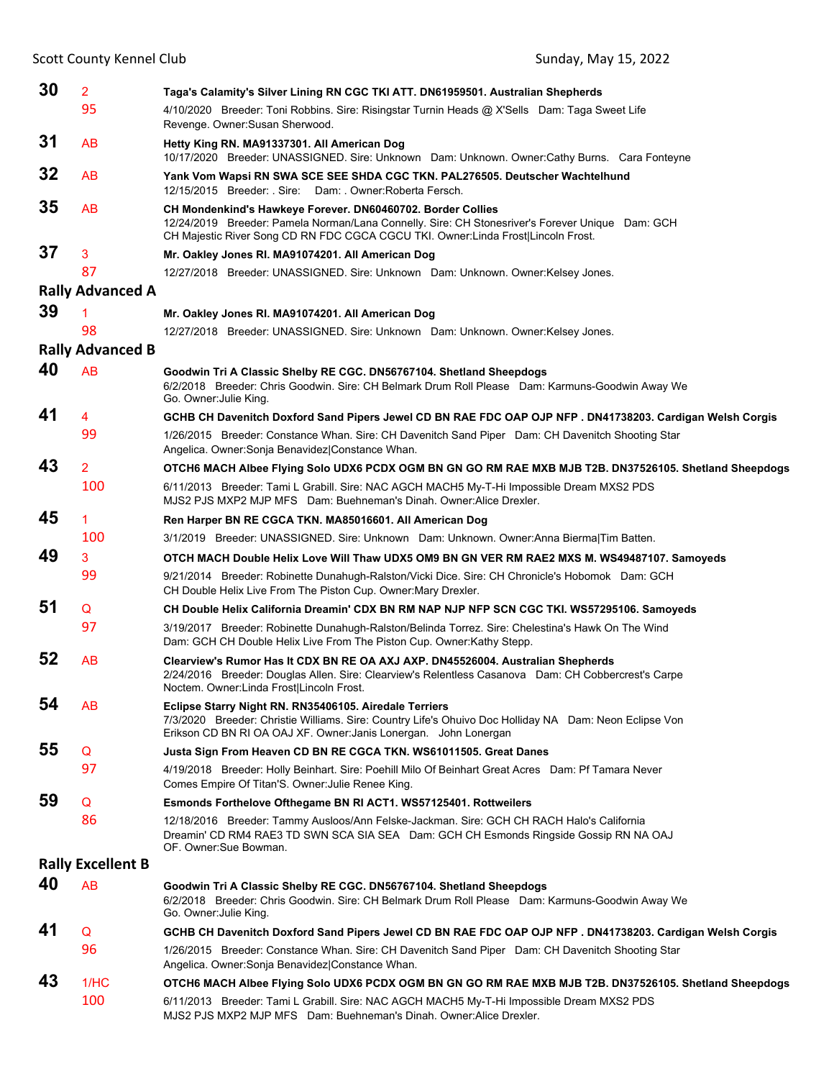| 30 | $\overline{2}$           | Taga's Calamity's Silver Lining RN CGC TKI ATT. DN61959501. Australian Shepherds                                                                                                                                                                    |
|----|--------------------------|-----------------------------------------------------------------------------------------------------------------------------------------------------------------------------------------------------------------------------------------------------|
|    | 95                       | 4/10/2020 Breeder: Toni Robbins. Sire: Risingstar Turnin Heads @ X'Sells Dam: Taga Sweet Life<br>Revenge. Owner: Susan Sherwood.                                                                                                                    |
| 31 | <b>AB</b>                | Hetty King RN. MA91337301. All American Dog<br>10/17/2020 Breeder: UNASSIGNED. Sire: Unknown Dam: Unknown. Owner:Cathy Burns. Cara Fonteyne                                                                                                         |
| 32 | <b>AB</b>                | Yank Vom Wapsi RN SWA SCE SEE SHDA CGC TKN. PAL276505. Deutscher Wachtelhund<br>12/15/2015 Breeder: Sire: Dam: Owner: Roberta Fersch.                                                                                                               |
| 35 | AB                       | CH Mondenkind's Hawkeye Forever. DN60460702. Border Collies<br>12/24/2019 Breeder: Pamela Norman/Lana Connelly. Sire: CH Stonesriver's Forever Unique Dam: GCH<br>CH Majestic River Song CD RN FDC CGCA CGCU TKI. Owner: Linda Frost Lincoln Frost. |
| 37 | 3                        | Mr. Oakley Jones RI. MA91074201. All American Dog                                                                                                                                                                                                   |
|    | 87                       | 12/27/2018 Breeder: UNASSIGNED. Sire: Unknown Dam: Unknown. Owner: Kelsey Jones.                                                                                                                                                                    |
|    | <b>Rally Advanced A</b>  |                                                                                                                                                                                                                                                     |
| 39 | 1                        | Mr. Oakley Jones RI. MA91074201. All American Dog                                                                                                                                                                                                   |
|    | 98                       | 12/27/2018 Breeder: UNASSIGNED. Sire: Unknown Dam: Unknown. Owner: Kelsey Jones.                                                                                                                                                                    |
|    | <b>Rally Advanced B</b>  |                                                                                                                                                                                                                                                     |
| 40 | <b>AB</b>                | Goodwin Tri A Classic Shelby RE CGC. DN56767104. Shetland Sheepdogs<br>6/2/2018 Breeder: Chris Goodwin. Sire: CH Belmark Drum Roll Please Dam: Karmuns-Goodwin Away We<br>Go. Owner: Julie King.                                                    |
| 41 | 4                        | GCHB CH Davenitch Doxford Sand Pipers Jewel CD BN RAE FDC OAP OJP NFP . DN41738203. Cardigan Welsh Corgis                                                                                                                                           |
|    | 99                       | 1/26/2015 Breeder: Constance Whan. Sire: CH Davenitch Sand Piper Dam: CH Davenitch Shooting Star<br>Angelica. Owner: Sonja Benavidez Constance Whan.                                                                                                |
| 43 | $\overline{2}$           | OTCH6 MACH Albee Flying Solo UDX6 PCDX OGM BN GN GO RM RAE MXB MJB T2B. DN37526105. Shetland Sheepdogs                                                                                                                                              |
|    | 100                      | 6/11/2013 Breeder: Tami L Grabill. Sire: NAC AGCH MACH5 My-T-Hi Impossible Dream MXS2 PDS<br>MJS2 PJS MXP2 MJP MFS Dam: Buehneman's Dinah. Owner: Alice Drexler.                                                                                    |
| 45 | 1                        | Ren Harper BN RE CGCA TKN. MA85016601. All American Dog                                                                                                                                                                                             |
|    | 100                      | 3/1/2019 Breeder: UNASSIGNED. Sire: Unknown Dam: Unknown. Owner:Anna Bierma Tim Batten.                                                                                                                                                             |
| 49 | 3                        | OTCH MACH Double Helix Love Will Thaw UDX5 OM9 BN GN VER RM RAE2 MXS M. WS49487107. Samoyeds                                                                                                                                                        |
|    | 99                       | 9/21/2014 Breeder: Robinette Dunahugh-Ralston/Vicki Dice. Sire: CH Chronicle's Hobomok Dam: GCH<br>CH Double Helix Live From The Piston Cup. Owner: Mary Drexler.                                                                                   |
| 51 | Q                        | CH Double Helix California Dreamin' CDX BN RM NAP NJP NFP SCN CGC TKI. WS57295106. Samoyeds                                                                                                                                                         |
|    | 97                       | 3/19/2017 Breeder: Robinette Dunahugh-Ralston/Belinda Torrez. Sire: Chelestina's Hawk On The Wind<br>Dam: GCH CH Double Helix Live From The Piston Cup. Owner: Kathy Stepp.                                                                         |
| 52 | AB                       | Clearview's Rumor Has It CDX BN RE OA AXJ AXP. DN45526004. Australian Shepherds<br>2/24/2016 Breeder: Douglas Allen. Sire: Clearview's Relentless Casanova Dam: CH Cobbercrest's Carpe<br>Noctem. Owner: Linda Frost Lincoln Frost.                 |
| 54 | AB                       | Eclipse Starry Night RN. RN35406105. Airedale Terriers<br>7/3/2020 Breeder: Christie Williams. Sire: Country Life's Ohuivo Doc Holliday NA Dam: Neon Eclipse Von<br>Erikson CD BN RI OA OAJ XF. Owner: Janis Lonergan. John Lonergan                |
| 55 | Q                        | Justa Sign From Heaven CD BN RE CGCA TKN. WS61011505. Great Danes                                                                                                                                                                                   |
|    | 97                       | 4/19/2018 Breeder: Holly Beinhart. Sire: Poehill Milo Of Beinhart Great Acres Dam: Pf Tamara Never<br>Comes Empire Of Titan'S. Owner: Julie Renee King.                                                                                             |
| 59 | Q                        | <b>Esmonds Forthelove Ofthegame BN RI ACT1. WS57125401. Rottweilers</b>                                                                                                                                                                             |
|    | 86                       | 12/18/2016 Breeder: Tammy Ausloos/Ann Felske-Jackman. Sire: GCH CH RACH Halo's California<br>Dreamin' CD RM4 RAE3 TD SWN SCA SIA SEA Dam: GCH CH Esmonds Ringside Gossip RN NA OAJ<br>OF. Owner:Sue Bowman.                                         |
|    | <b>Rally Excellent B</b> |                                                                                                                                                                                                                                                     |
| 40 | <b>AB</b>                | Goodwin Tri A Classic Shelby RE CGC. DN56767104. Shetland Sheepdogs<br>6/2/2018 Breeder: Chris Goodwin. Sire: CH Belmark Drum Roll Please Dam: Karmuns-Goodwin Away We<br>Go. Owner: Julie King.                                                    |
| 41 | Q                        | GCHB CH Davenitch Doxford Sand Pipers Jewel CD BN RAE FDC OAP OJP NFP . DN41738203. Cardigan Welsh Corgis                                                                                                                                           |
|    | 96                       | 1/26/2015 Breeder: Constance Whan. Sire: CH Davenitch Sand Piper Dam: CH Davenitch Shooting Star<br>Angelica. Owner: Sonja Benavidez Constance Whan.                                                                                                |
| 43 | 1/HC                     | OTCH6 MACH Albee Flying Solo UDX6 PCDX OGM BN GN GO RM RAE MXB MJB T2B. DN37526105. Shetland Sheepdogs                                                                                                                                              |
|    | 100                      | 6/11/2013 Breeder: Tami L Grabill. Sire: NAC AGCH MACH5 My-T-Hi Impossible Dream MXS2 PDS<br>MJS2 PJS MXP2 MJP MFS Dam: Buehneman's Dinah. Owner: Alice Drexler.                                                                                    |